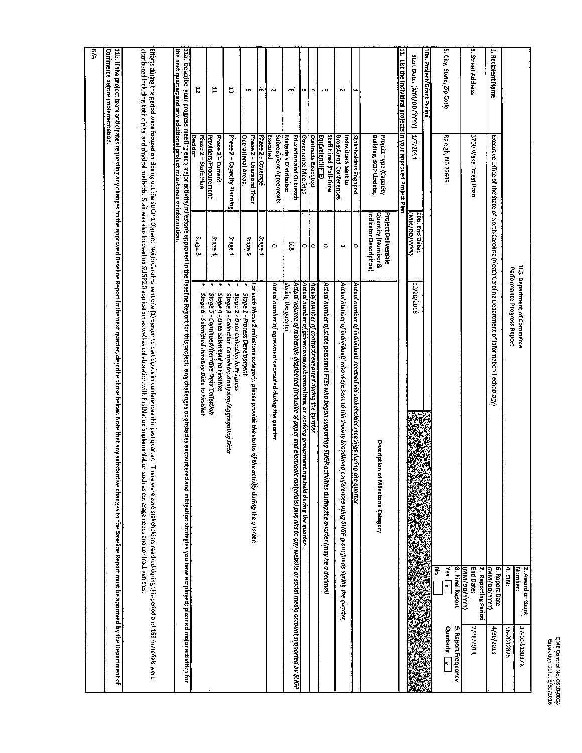| 1<br>Ì.<br>ţ.<br>÷ |  |
|--------------------|--|
| Ξ<br>Ĭ.<br>۶       |  |

|                                                                                |                                                       |                                                                                | <b>U.S. Department of Commerce</b>                                                                                                                                                                                                                                                                                                                                                                                                                               | 2. Award or Grant<br><b>Number:</b>                      | NZEDETS-0T-ZE                               |
|--------------------------------------------------------------------------------|-------------------------------------------------------|--------------------------------------------------------------------------------|------------------------------------------------------------------------------------------------------------------------------------------------------------------------------------------------------------------------------------------------------------------------------------------------------------------------------------------------------------------------------------------------------------------------------------------------------------------|----------------------------------------------------------|---------------------------------------------|
|                                                                                |                                                       |                                                                                | Performance Progress Report                                                                                                                                                                                                                                                                                                                                                                                                                                      | 4. EIN:                                                  | 525-2032825                                 |
| 1. Recipient Name                                                              |                                                       |                                                                                | Executive Office of the State of North Carolina (North Carolina Department of Information Technology)                                                                                                                                                                                                                                                                                                                                                            | 6. Report Date<br><b>TAAA/GO/MW</b>                      | 4/30/2018                                   |
| 3. Street Address                                                              | 3700 Wake Forest Road                                 |                                                                                |                                                                                                                                                                                                                                                                                                                                                                                                                                                                  | End Date:<br>7. Reporting Period<br>(киу/ <u>рр/ууу)</u> | 2/28/2018                                   |
| 5. City, State, Zip Code                                                       | Ratelgh, NC 27609                                     |                                                                                |                                                                                                                                                                                                                                                                                                                                                                                                                                                                  | $\frac{1}{2}$ and<br>8. Final Report<br>중                | <b>Quarterly</b> Lx.<br>9. Report Frequency |
| 10a. Project/Grant Period                                                      |                                                       |                                                                                |                                                                                                                                                                                                                                                                                                                                                                                                                                                                  |                                                          |                                             |
| Start Date: (MM/DD/YYYY)                                                       | <b>ATTOLA</b>                                         | 10h. End Date;<br>(WW/DD/WW)                                                   | 8102/82/20                                                                                                                                                                                                                                                                                                                                                                                                                                                       |                                                          |                                             |
| 111. List the individual projects in your approved Project Plan                |                                                       |                                                                                |                                                                                                                                                                                                                                                                                                                                                                                                                                                                  |                                                          |                                             |
|                                                                                | Building, SCIP Update,<br>Project Type (Capacity      | Project Deliverable<br><b>Quantity (Number &amp;</b><br>Indicator Description) | Description<br>of Milestone Category                                                                                                                                                                                                                                                                                                                                                                                                                             |                                                          |                                             |
| ŀ۳                                                                             | Stakeholders Engaged                                  | ۰                                                                              | Actual number of individuals reached via stakeholder meetings during<br>the quarter                                                                                                                                                                                                                                                                                                                                                                              |                                                          |                                             |
| N                                                                              | <b>Broadband Conferences</b><br>Individuals Sentito   | н.                                                                             | Actual number of individuals who were sent to third-party broadband<br>conferences using SUGP gront funds during the quarter                                                                                                                                                                                                                                                                                                                                     |                                                          |                                             |
| ١W                                                                             | Staff Hired (Full-Time<br>Equivalent)(FTE)            | $\bullet$                                                                      | Actual number of state personnel FTEs who began supporting StiGP activities during the quarter (may be a decimal)                                                                                                                                                                                                                                                                                                                                                |                                                          |                                             |
| l≏                                                                             | <b>Contracts Executed</b>                             | ۰                                                                              | Actival number of contracts executed during the avarier                                                                                                                                                                                                                                                                                                                                                                                                          |                                                          |                                             |
| ξuι.                                                                           | Governance Meetings                                   | $\bullet$                                                                      | Actual number of governance;subcommittee, or working group meetin<br>gs held during the quarter                                                                                                                                                                                                                                                                                                                                                                  |                                                          |                                             |
| `on                                                                            | Materials Distributed<br>Education and Outreach       | 168                                                                            | during the quarter<br>estud volume of materials distributed (inclusive of paper and electronic materials) piestud inclusions account supported by SUGP 1999.                                                                                                                                                                                                                                                                                                     |                                                          |                                             |
| أيث                                                                            | Subreciptent Agreements<br>Executer                   | $\bullet$                                                                      | Actual number of agreements executed during the quarter                                                                                                                                                                                                                                                                                                                                                                                                          |                                                          |                                             |
| jos:                                                                           | Phase 2 - Coverage                                    | Stage 4                                                                        |                                                                                                                                                                                                                                                                                                                                                                                                                                                                  |                                                          |                                             |
| <u>io</u>                                                                      | Phase 2 - Users and Their<br><u>Operational Areas</u> | Stage 5                                                                        | For each Phase 2 milestone category, please provide the status of the activity during the quarter:<br>٠<br>Stage 1 - Process Development                                                                                                                                                                                                                                                                                                                         |                                                          |                                             |
| 븅                                                                              | Phase 2 - Capacity Pianning                           | Stage 4                                                                        | ¥<br>$\bullet,$<br>Stage 2 - Data Collection In Progress<br>Stage 3 - Collection Complete; Analyzing/Aggregating Data                                                                                                                                                                                                                                                                                                                                            |                                                          |                                             |
| 뵤                                                                              | Providers/Procurement<br>Phase 2 - Current            | Stage 4                                                                        | $\mathbf{R}$ .<br>٠<br>Stage 4 - Dota Submitted to FirstNet<br>Stoge 5 - Continued/terative Data Collection                                                                                                                                                                                                                                                                                                                                                      |                                                          |                                             |
| r,                                                                             | <b>Decision</b><br>Phase 2 - State Plan               | Stage 3                                                                        | Stage 6 - Submitted Rerative Data to FirstNet                                                                                                                                                                                                                                                                                                                                                                                                                    |                                                          |                                             |
| <u>the next quarter; and any additional project milestones or information.</u> |                                                       |                                                                                |                                                                                                                                                                                                                                                                                                                                                                                                                                                                  |                                                          |                                             |
|                                                                                |                                                       |                                                                                | distributed including both distrial nethods. Staff was also focused on SUGP20 application as well as cointed on minity for the manimum entropented and contrast vehicles that the manimum contrast recession on the contrast v<br>Effarts this penod were focule out the SuGP1.0 grant. Notifi Groufing the controllation is the position of the compart of the compart of the compart of the compart of the compart of the compart of the compart of the compar |                                                          |                                             |
| Commerce before implementation.                                                |                                                       |                                                                                | 11b. If the project team anticipates to the approved Baseline Report in the next quartier, about Mote that any substantive changes to the Baseline Report must be approved by the Department of                                                                                                                                                                                                                                                                  |                                                          |                                             |
| हूँ                                                                            |                                                       |                                                                                |                                                                                                                                                                                                                                                                                                                                                                                                                                                                  |                                                          |                                             |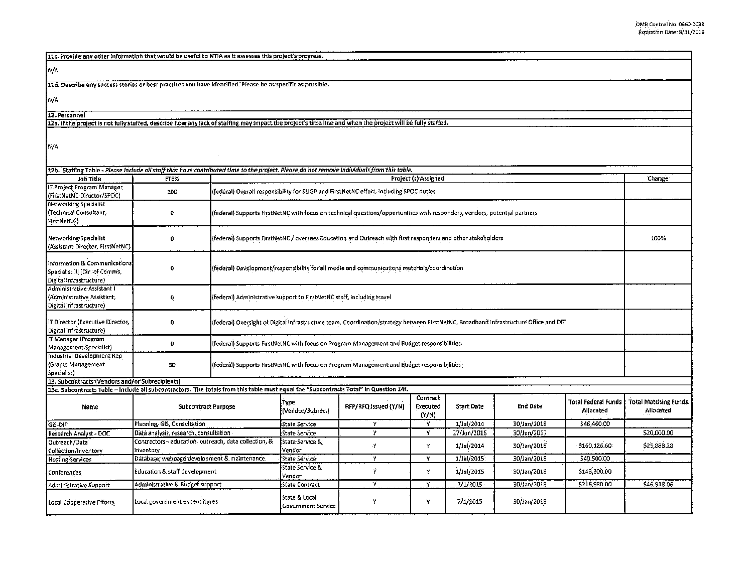| 11c. Provide any other information that would be useful to NTIA as it assesses this project's progress.                                                             |                                                                                                           |                                                                                                                                       |                                                                                              |                                                                                                                            |                               |             |                 |                                         |                                           |
|---------------------------------------------------------------------------------------------------------------------------------------------------------------------|-----------------------------------------------------------------------------------------------------------|---------------------------------------------------------------------------------------------------------------------------------------|----------------------------------------------------------------------------------------------|----------------------------------------------------------------------------------------------------------------------------|-------------------------------|-------------|-----------------|-----------------------------------------|-------------------------------------------|
| M/A                                                                                                                                                                 |                                                                                                           |                                                                                                                                       |                                                                                              |                                                                                                                            |                               |             |                 |                                         |                                           |
| .11d. Describe any success stories or best practices you have identified. Please be as specific as possible.                                                        |                                                                                                           |                                                                                                                                       |                                                                                              |                                                                                                                            |                               |             |                 |                                         |                                           |
| [N/A                                                                                                                                                                |                                                                                                           |                                                                                                                                       |                                                                                              |                                                                                                                            |                               |             |                 |                                         |                                           |
| 12. Personnel                                                                                                                                                       |                                                                                                           |                                                                                                                                       |                                                                                              |                                                                                                                            |                               |             |                 |                                         |                                           |
| 12a. If the project is not fully staffed, describe how any lack of staffing may impact the project's time line and when the project will be fully staffed.          |                                                                                                           |                                                                                                                                       |                                                                                              |                                                                                                                            |                               |             |                 |                                         |                                           |
| N/A                                                                                                                                                                 |                                                                                                           |                                                                                                                                       |                                                                                              |                                                                                                                            |                               |             |                 |                                         |                                           |
| 12b. Staffing Table - Please include all staff that have contributed time to the project. Please do not remove individuals from this table.<br>Project (s) Assigned |                                                                                                           |                                                                                                                                       |                                                                                              |                                                                                                                            |                               |             |                 |                                         |                                           |
| Job Title                                                                                                                                                           | FTE%                                                                                                      |                                                                                                                                       |                                                                                              |                                                                                                                            |                               |             |                 |                                         | Change                                    |
| IT Project Program Manager<br>(FirstNetNC Director/SPOC)                                                                                                            | 100                                                                                                       |                                                                                                                                       |                                                                                              | (federal) Overall responsibility for SLIGP and FirstNetNC effort, including SPOC duties                                    |                               |             |                 |                                         |                                           |
| Networking Specialist<br>(Technical Consultant,<br>FirstNetNC)                                                                                                      | 0                                                                                                         |                                                                                                                                       |                                                                                              | (federal) Supports FirstNetNC with focus on technical questions/opportunities with responders, vendors, potential partners |                               |             |                 |                                         |                                           |
| Networking Specialist<br>(Assistant Director, FirstNetNC)                                                                                                           | 0                                                                                                         |                                                                                                                                       |                                                                                              | (federal) Supports FirstNetNC / oversees Education and Outreach with first responders and other stakeholders               |                               |             |                 |                                         | 100%                                      |
| Information & Communications<br>Specialist III (Dir. of Comms,<br>Digital Infrastructure)                                                                           | 0                                                                                                         |                                                                                                                                       | (federal) Development/responsibility for all media and communications materials/coordination |                                                                                                                            |                               |             |                 |                                         |                                           |
| Administrative Assistant I<br>(Administrative Assistant,<br>Digital Infrastructure)                                                                                 | 0                                                                                                         | (federal) Administrative support to FirstNetNC staff, including travel                                                                |                                                                                              |                                                                                                                            |                               |             |                 |                                         |                                           |
| IT Director (Executive Director,<br>Digital Infrastructure)                                                                                                         | 0                                                                                                         | (federal) Oversight of Digital Infrastructure team. Coordination/strategy between FirstNetNC, Broadband Infrastructure Office and DIT |                                                                                              |                                                                                                                            |                               |             |                 |                                         |                                           |
| IT Manager (Program<br>Management Specialist)                                                                                                                       | 0                                                                                                         |                                                                                                                                       |                                                                                              | (federal) Supports FirstNetNC with focus on Program Management and Budget responsibilities:                                |                               |             |                 |                                         |                                           |
| Industrial Development Rep<br>Grants Management<br>Specialist)                                                                                                      | 50                                                                                                        |                                                                                                                                       | (federal) Supports FirstNetNC with focus on Program Management and Budget responsibilities   |                                                                                                                            |                               |             |                 |                                         |                                           |
| 13. Subcontracts (Vendors and/or Subreciplents)                                                                                                                     |                                                                                                           |                                                                                                                                       |                                                                                              |                                                                                                                            |                               |             |                 |                                         |                                           |
| 13a. Subcontracts Table – include all subcontractors. The totals from this table must equal the "Subcontracts Total" in Question 14f.                               |                                                                                                           |                                                                                                                                       |                                                                                              |                                                                                                                            |                               |             |                 |                                         |                                           |
| Name                                                                                                                                                                | <b>Subcontract Purpose</b>                                                                                |                                                                                                                                       | Type<br>(Veridor/Subrec.)                                                                    | RFP/RFQ.Issued {Y/N}                                                                                                       | Contract<br>Executed<br>(Y/N) | Start Date  | <b>End Date</b> | <b>Total Federal Funds</b><br>Allocated | <b>Total Matching Funds.</b><br>Allocated |
| GIS-DIT                                                                                                                                                             | Planning, GIS, Consultation                                                                               |                                                                                                                                       | State Service                                                                                | Y                                                                                                                          | Y                             | 1/Jul/2014  | 30/Jan/2018     | \$46,460.00                             |                                           |
| Research Analyst - DOC                                                                                                                                              | Data analysis, research, consultation-                                                                    |                                                                                                                                       | <b>State Service</b>                                                                         | ¥                                                                                                                          | Y                             | 27/Jun/2016 | 30/Jun/2017     |                                         | \$20,000.00                               |
| Outreach/Data <sup>.</sup><br>Collection/Inventory                                                                                                                  | Contractors - education, outreach, data collection, &<br>Inventory                                        |                                                                                                                                       | State Service &<br>Vendor                                                                    | Ŋ.                                                                                                                         | Y                             | 1/Jul/2014  | 30/Jan/2018     | \$160,126.60                            | \$25,888.28                               |
| <b>Hosting Services</b>                                                                                                                                             |                                                                                                           |                                                                                                                                       | State Service                                                                                | Y                                                                                                                          | Y                             | 1/Jul/2015  | 30/Jan/2018     | \$40,500.00                             |                                           |
| Conferences                                                                                                                                                         | Education & staff development                                                                             | Database, webpage development & maintenance.                                                                                          |                                                                                              | ý                                                                                                                          | Y                             | 1/Jul/2015  | 30/Jan/2018     | \$143,300.00                            |                                           |
| Administrative Support                                                                                                                                              | Administrative & Budget support                                                                           |                                                                                                                                       | Vendor<br>State Contract                                                                     | Y                                                                                                                          |                               | 7/1/2015    | 30/Jan/2018     | \$216,980.00                            | \$46,918.06                               |
| Local Cooperative Efforts                                                                                                                                           | State & Local<br>Y<br>7/1/2015<br>30/Jan/2018<br>Local government expenditures<br>Y<br>Government Service |                                                                                                                                       |                                                                                              |                                                                                                                            |                               |             |                 |                                         |                                           |